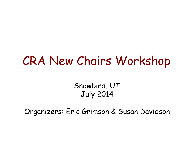#### CRA New Chairs Workshop

Snowbird, UT July 2014

Organizers: Eric Grimson & Susan Davidson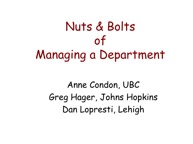# Nuts & Bolts of Managing a Department

Anne Condon, UBC Greg Hager, Johns Hopkins Dan Lopresti, Lehigh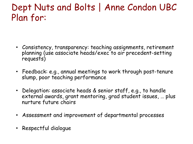#### Dept Nuts and Bolts | Anne Condon UBC Plan for:

- Consistency, transparency: teaching assignments, retirement planning (use associate heads/exec to air precedent-setting requests)
- Feedback: e.g., annual meetings to work through post-tenure slump, poor teaching performance
- Delegation: associate heads & senior staff, e.g., to handle external awards, grant mentoring, grad student issues, … plus nurture future chairs
- Assessment and improvement of departmental processes
- Respectful dialogue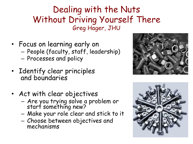#### Dealing with the Nuts Without Driving Yourself There Greg Hager, JHU

- Focus on learning early on – People (faculty, staff, leadership) – Processes and policy
- Identify clear principles and boundaries
- Act with clear objectives
	- Are you trying solve a problem or start something new?
	- Make your role clear and stick to it
	- Choose between objectives and mechanisms



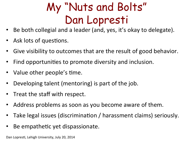### My "Nuts and Bolts" Dan Lopresti

- Be both collegial and a leader (and, yes, it's okay to delegate).
- Ask lots of questions.
- Give visibility to outcomes that are the result of good behavior.
- Find opportunities to promote diversity and inclusion.
- Value other people's time.
- Developing talent (mentoring) is part of the job.
- Treat the staff with respect.
- Address problems as soon as you become aware of them.
- Take legal issues (discrimination / harassment claims) seriously.
- Be empathetic yet dispassionate.

Dan Lopresti, Lehigh University, July 20, 2014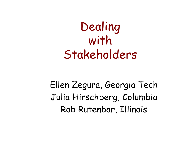## Dealing with Stakeholders

Ellen Zegura, Georgia Tech Julia Hirschberg, Columbia Rob Rutenbar, Illinois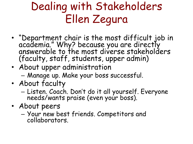### Dealing with Stakeholders Ellen Zegura

- "Department chair is the most difficult job in academia." Why? because you are directly answerable to the most diverse stakeholders (faculty, staff, students, upper admin)
- About upper administration – Manage up. Make your boss successful.
- About faculty
	- Listen. Coach. Don't do it all yourself. Everyone needs/wants praise (even your boss).
- About peers
	- Your new best friends. Competitors and collaborators.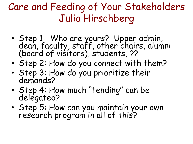#### Care and Feeding of Your Stakeholders Julia Hirschberg

- Step 1: Who are yours? Upper admin, dean, faculty, staff, other chairs, alumni (board of visitors), students, ??
- Step 2: How do you connect with them?
- Step 3: How do you prioritize their demands?
- Step 4: How much "tending" can be delegated?
- Step 5: How can you maintain your own research program in all of this?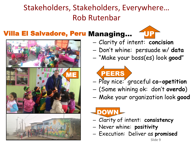#### Stakeholders, Stakeholders, Everywhere... **Rob Rutenbar**

#### Villa El Salvadore, Peru Managing... (UPF



- ME
- Clarity of intent: **concision**
- Don't whine: persuade w/ **data**
- "Make your boss(es) look **good**"
	- PEERS
- Play nice: graceful **co-opetition**
- (Some whining ok: don't **overdo**)
- Make your organization look **good**

#### **DOW**

- Clarity of intent: **consistency**
- Never whine: **positivity**
- Execution: Deliver as **promised**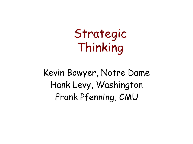Strategic Thinking

Kevin Bowyer, Notre Dame Hank Levy, Washington Frank Pfenning, CMU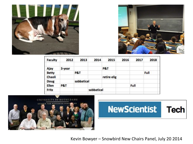



|       | Faculty      | 2012   | 2013           | 2014       | 2015        | 2016 | 2017 | 2018 |  |
|-------|--------------|--------|----------------|------------|-------------|------|------|------|--|
|       | Ajay         | 3-year |                |            | P&T         |      |      |      |  |
|       | <b>Betty</b> |        | <b>P&amp;T</b> |            |             |      |      | Full |  |
|       | Chaoli       |        |                |            | retire elig |      |      |      |  |
|       | Doug         |        | sabbatical     |            |             |      |      |      |  |
|       | Ellen        | P&T    |                |            |             |      | Full |      |  |
| Fritz |              |        |                | sabbatical |             |      |      |      |  |
|       |              |        |                |            |             |      |      |      |  |





Kevin Bowyer – Snowbird New Chairs Panel, July 20 2014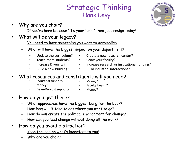#### Strategic Thinking Hank Levy

- Why are you chair?
	- If you're here because "it's your turn," then just resign today!
- What will be your legacy?
	- You need to have something you want to accomplish
	- What will have the biggest impact on your department?
		- Update the curriculum?
		- Teach more students?
		- Increase Diversity?
		- Build a new Building?
- $\cdot$  Create a new research center?
- Grow your faculty?
- Increase research or institutional funding?
- $\cdot$  Build industrial interactions?
- What resources and constituents will you need?
	- Industrial support?
- Money?

Money?

- Faculty buy-in?
- Dean/Provost support?
- Money?
- How do you get there?
	- What approaches have the biggest bang for the buck?
	- How long will it take to get where you want to go?
	- How do you create the political environment for change?
	- How can you lead change without doing all the work?
- How do you avoid distraction?
	- Keep focused on what's important to you!
	- Why are you chair?

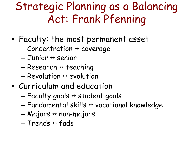#### Strategic Planning as a Balancing Act: Frank Pfenning

- Faculty: the most permanent asset
	- $-$  Concentration  $\leftrightarrow$  coverage
	- $-$  Junior  $\leftrightarrow$  senior
	- $-$  Research  $\leftrightarrow$  teaching
	- $-$  Revolution  $\leftrightarrow$  evolution
- Curriculum and education
	- Faculty goals  $\leftrightarrow$  student goals
	- $-$  Fundamental skills  $\leftrightarrow$  vocational knowledge
	- $-$  Majors  $\leftrightarrow$  non-majors
	- $-$  Trends  $\leftrightarrow$  fads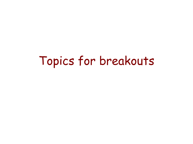#### Topics for breakouts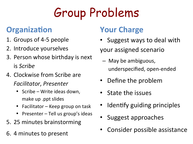# Group Problems

#### **Organization**

- 1. Groups of 4-5 people
- 2. Introduce yourselves
- 3. Person whose birthday is next is#*Scribe'*
- 4. Clockwise from Scribe are *Facilitator*,#*Presenter*
	- Scribe Write ideas down, make up .ppt slides
	- Facilitator Keep group on task
	- Presenter Tell us group's ideas
- 5. 25 minutes brainstorming
- 6. 4 minutes to present

#### **Your Charge**

• Suggest ways to deal with

your assigned scenario

- $-$  May be ambiguous, underspecified, open-ended
- Define the problem
- State the issues
- Identify guiding principles
- Suggest approaches
- Consider possible assistance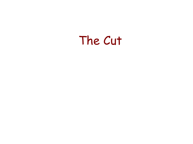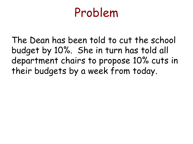The Dean has been told to cut the school budget by 10%. She in turn has told all department chairs to propose 10% cuts in their budgets by a week from today.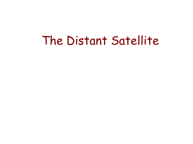#### The Distant Satellite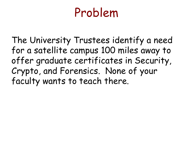The University Trustees identify a need for a satellite campus 100 miles away to offer graduate certificates in Security, Crypto, and Forensics. None of your faculty wants to teach there.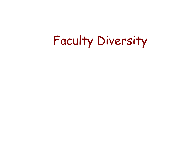# Faculty Diversity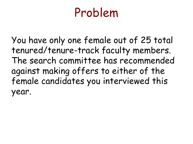You have only one female out of 25 total tenured/tenure-track faculty members. The search committee has recommended against making offers to either of the female candidates you interviewed this year.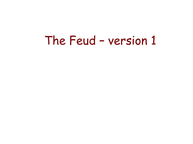#### The Feud – version 1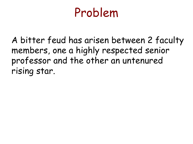A bitter feud has arisen between 2 faculty members, one a highly respected senior professor and the other an untenured rising star.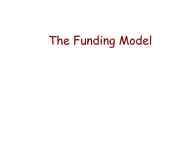## The Funding Model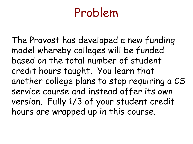The Provost has developed a new funding model whereby colleges will be funded based on the total number of student credit hours taught. You learn that another college plans to stop requiring a CS service course and instead offer its own version. Fully 1/3 of your student credit hours are wrapped up in this course.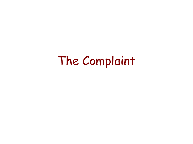### The Complaint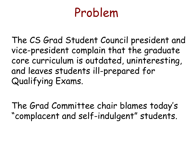The CS Grad Student Council president and vice-president complain that the graduate core curriculum is outdated, uninteresting, and leaves students ill-prepared for Qualifying Exams.

The Grad Committee chair blames today's "complacent and self-indulgent" students.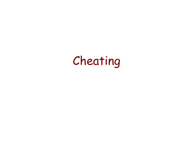## Cheating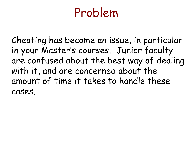Cheating has become an issue, in particular in your Master's courses. Junior faculty are confused about the best way of dealing with it, and are concerned about the amount of time it takes to handle these cases.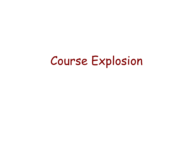#### Course Explosion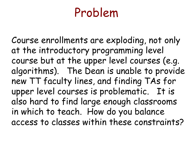Course enrollments are exploding, not only at the introductory programming level course but at the upper level courses (e.g. algorithms). The Dean is unable to provide new TT faculty lines, and finding TAs for upper level courses is problematic. It is also hard to find large enough classrooms in which to teach. How do you balance access to classes within these constraints?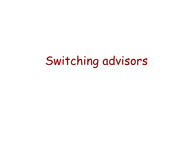## Switching advisors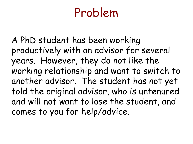A PhD student has been working productively with an advisor for several years. However, they do not like the working relationship and want to switch to another advisor. The student has not yet told the original advisor, who is untenured and will not want to lose the student, and comes to you for help/advice.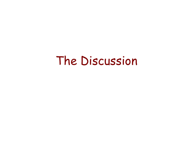#### The Discussion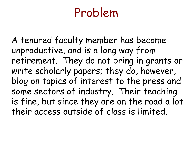A tenured faculty member has become unproductive, and is a long way from retirement. They do not bring in grants or write scholarly papers; they do, however, blog on topics of interest to the press and some sectors of industry. Their teaching is fine, but since they are on the road a lot their access outside of class is limited.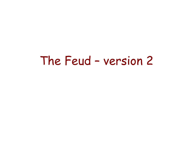#### The Feud – version 2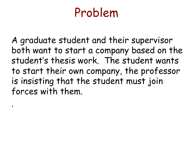A graduate student and their supervisor both want to start a company based on the student's thesis work. The student wants to start their own company, the professor is insisting that the student must join forces with them.

.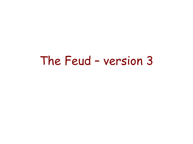#### The Feud – version 3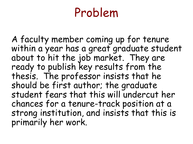A faculty member coming up for tenure within a year has a great graduate student about to hit the job market. They are ready to publish key results from the thesis. The professor insists that he should be first author; the graduate student fears that this will undercut her chances for a tenure-track position at a strong institution, and insists that this is primarily her work.